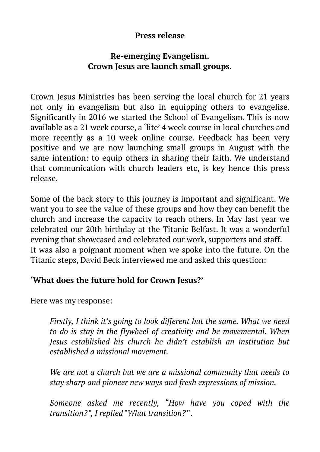#### **Press release**

## **Re-emerging Evangelism. Crown Jesus are launch small groups.**

Crown Jesus Ministries has been serving the local church for 21 years not only in evangelism but also in equipping others to evangelise. Significantly in 2016 we started the School of Evangelism. This is now available as a 21 week course, a 'lite' 4 week course in local churches and more recently as a 10 week online course. Feedback has been very positive and we are now launching small groups in August with the same intention: to equip others in sharing their faith. We understand that communication with church leaders etc, is key hence this press release.

Some of the back story to this journey is important and significant. We want you to see the value of these groups and how they can benefit the church and increase the capacity to reach others. In May last year we celebrated our 20th birthday at the Titanic Belfast. It was a wonderful evening that showcased and celebrated our work, supporters and staff. It was also a poignant moment when we spoke into the future. On the Titanic steps, David Beck interviewed me and asked this question:

# **'What does the future hold for Crown Jesus?'**

Here was my response:

*Firstly, I think it's going to look different but the same. What we need to do is stay in the flywheel of creativity and be movemental. When Jesus established his church he didn't establish an institution but established a missional movement.*

*We are not a church but we are a missional community that needs to stay sharp and pioneer new ways and fresh expressions of mission.*

*Someone asked me recently, "How have you coped with the transition?", I replied "What transition?" .*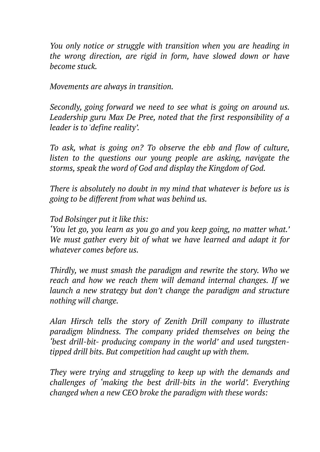*You only notice or struggle with transition when you are heading in the wrong direction, are rigid in form, have slowed down or have become stuck.*

*Movements are always in transition.* 

*Secondly, going forward we need to see what is going on around us. Leadership guru Max De Pree, noted that the first responsibility of a leader is to 'define reality'.*

*To ask, what is going on? To observe the ebb and flow of culture, listen to the questions our young people are asking, navigate the storms, speak the word of God and display the Kingdom of God.* 

*There is absolutely no doubt in my mind that whatever is before us is going to be different from what was behind us.* 

*Tod Bolsinger put it like this:*

*'You let go, you learn as you go and you keep going, no matter what.' We must gather every bit of what we have learned and adapt it for whatever comes before us.*

*Thirdly, we must smash the paradigm and rewrite the story. Who we reach and how we reach them will demand internal changes. If we launch a new strategy but don't change the paradigm and structure nothing will change.* 

*Alan Hirsch tells the story of Zenith Drill company to illustrate paradigm blindness. The company prided themselves on being the 'best drill-bit- producing company in the world' and used tungstentipped drill bits. But competition had caught up with them.*

*They were trying and struggling to keep up with the demands and challenges of 'making the best drill-bits in the world'. Everything changed when a new CEO broke the paradigm with these words:*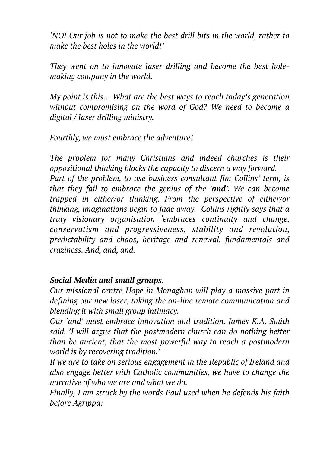*'NO! Our job is not to make the best drill bits in the world, rather to make the best holes in the world!'*

*They went on to innovate laser drilling and become the best holemaking company in the world.*

*My point is this… What are the best ways to reach today's generation without compromising on the word of God? We need to become a digital / laser drilling ministry.*

*Fourthly, we must embrace the adventure!*

*The problem for many Christians and indeed churches is their oppositional thinking blocks the capacity to discern a way forward. Part of the problem, to use business consultant Jim Collins' term, is that they fail to embrace the genius of the 'and'. We can become trapped in either/or thinking. From the perspective of either/or thinking, imaginations begin to fade away. Collins rightly says that a truly visionary organisation 'embraces continuity and change, conservatism and progressiveness, stability and revolution, predictability and chaos, heritage and renewal, fundamentals and craziness. And, and, and.*

#### *Social Media and small groups.*

*Our missional centre Hope in Monaghan will play a massive part in defining our new laser, taking the on-line remote communication and blending it with small group intimacy.*

*Our 'and' must embrace innovation and tradition. James K.A. Smith said, 'I will argue that the postmodern church can do nothing better than be ancient, that the most powerful way to reach a postmodern world is by recovering tradition.'*

*If we are to take on serious engagement in the Republic of Ireland and also engage better with Catholic communities, we have to change the narrative of who we are and what we do.* 

*Finally, I am struck by the words Paul used when he defends his faith before Agrippa:*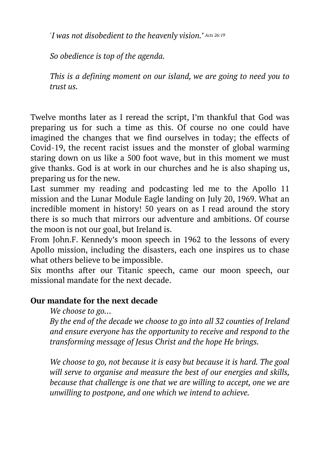*'I was not disobedient to the heavenly vision.' Acts 26:19*

*So obedience is top of the agenda.*

*This is a defining moment on our island, we are going to need you to trust us.*

Twelve months later as I reread the script, I'm thankful that God was preparing us for such a time as this. Of course no one could have imagined the changes that we find ourselves in today; the effects of Covid-19, the recent racist issues and the monster of global warming staring down on us like a 500 foot wave, but in this moment we must give thanks. God is at work in our churches and he is also shaping us, preparing us for the new.

Last summer my reading and podcasting led me to the Apollo 11 mission and the Lunar Module Eagle landing on July 20, 1969. What an incredible moment in history! 50 years on as I read around the story there is so much that mirrors our adventure and ambitions. Of course the moon is not our goal, but Ireland is.

From John.F. Kennedy's moon speech in 1962 to the lessons of every Apollo mission, including the disasters, each one inspires us to chase what others believe to be impossible.

Six months after our Titanic speech, came our moon speech, our missional mandate for the next decade.

## **Our mandate for the next decade**

#### *We choose to go…*

*By the end of the decade we choose to go into all 32 counties of Ireland and ensure everyone has the opportunity to receive and respond to the transforming message of Jesus Christ and the hope He brings.* 

*We choose to go, not because it is easy but because it is hard. The goal will serve to organise and measure the best of our energies and skills, because that challenge is one that we are willing to accept, one we are unwilling to postpone, and one which we intend to achieve.*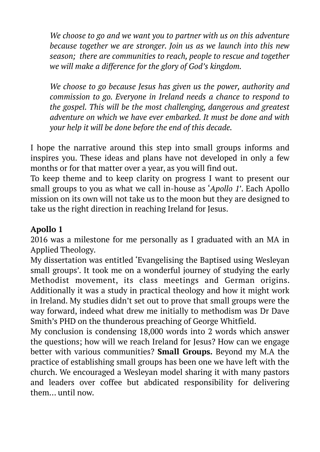*We choose to go and we want you to partner with us on this adventure because together we are stronger. Join us as we launch into this new season; there are communities to reach, people to rescue and together we will make a difference for the glory of God's kingdom.* 

*We choose to go because Jesus has given us the power, authority and commission to go. Everyone in Ireland needs a chance to respond to the gospel. This will be the most challenging, dangerous and greatest adventure on which we have ever embarked. It must be done and with your help it will be done before the end of this decade.* 

I hope the narrative around this step into small groups informs and inspires you. These ideas and plans have not developed in only a few months or for that matter over a year, as you will find out.

To keep theme and to keep clarity on progress I want to present our small groups to you as what we call in-house as '*Apollo 1*'. Each Apollo mission on its own will not take us to the moon but they are designed to take us the right direction in reaching Ireland for Jesus.

## **Apollo 1**

2016 was a milestone for me personally as I graduated with an MA in Applied Theology.

My dissertation was entitled 'Evangelising the Baptised using Wesleyan small groups'. It took me on a wonderful journey of studying the early Methodist movement, its class meetings and German origins. Additionally it was a study in practical theology and how it might work in Ireland. My studies didn't set out to prove that small groups were the way forward, indeed what drew me initially to methodism was Dr Dave Smith's PHD on the thunderous preaching of George Whitfield.

My conclusion is condensing 18,000 words into 2 words which answer the questions; how will we reach Ireland for Jesus? How can we engage better with various communities? **Small Groups.** Beyond my M.A the practice of establishing small groups has been one we have left with the church. We encouraged a Wesleyan model sharing it with many pastors and leaders over coffee but abdicated responsibility for delivering them… until now.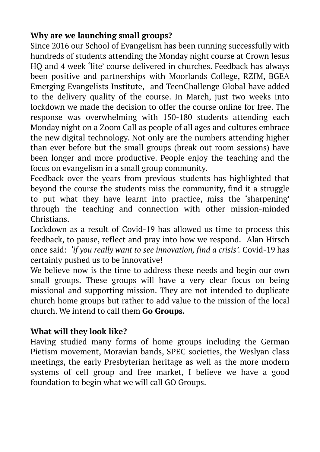# **Why are we launching small groups?**

Since 2016 our School of Evangelism has been running successfully with hundreds of students attending the Monday night course at Crown Jesus HQ and 4 week 'lite' course delivered in churches. Feedback has always been positive and partnerships with Moorlands College, RZIM, BGEA Emerging Evangelists Institute, and TeenChallenge Global have added to the delivery quality of the course. In March, just two weeks into lockdown we made the decision to offer the course online for free. The response was overwhelming with 150-180 students attending each Monday night on a Zoom Call as people of all ages and cultures embrace the new digital technology. Not only are the numbers attending higher than ever before but the small groups (break out room sessions) have been longer and more productive. People enjoy the teaching and the focus on evangelism in a small group community.

Feedback over the years from previous students has highlighted that beyond the course the students miss the community, find it a struggle to put what they have learnt into practice, miss the 'sharpening' through the teaching and connection with other mission-minded Christians.

Lockdown as a result of Covid-19 has allowed us time to process this feedback, to pause, reflect and pray into how we respond. Alan Hirsch once said: *'if you really want to see innovation, find a crisis'.* Covid-19 has certainly pushed us to be innovative!

We believe now is the time to address these needs and begin our own small groups. These groups will have a very clear focus on being missional and supporting mission. They are not intended to duplicate church home groups but rather to add value to the mission of the local church. We intend to call them **Go Groups.** 

# **What will they look like?**

Having studied many forms of home groups including the German Pietism movement, Moravian bands, SPEC societies, the Weslyan class meetings, the early Presbyterian heritage as well as the more modern systems of cell group and free market, I believe we have a good foundation to begin what we will call GO Groups.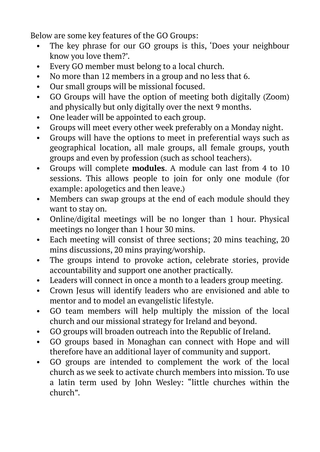Below are some key features of the GO Groups:

- The key phrase for our GO groups is this, 'Does your neighbour know you love them?'.
- Every GO member must belong to a local church.
- No more than 12 members in a group and no less that 6.
- Our small groups will be missional focused.
- GO Groups will have the option of meeting both digitally (Zoom) and physically but only digitally over the next 9 months.
- One leader will be appointed to each group.
- Groups will meet every other week preferably on a Monday night.
- Groups will have the options to meet in preferential ways such as geographical location, all male groups, all female groups, youth groups and even by profession (such as school teachers).
- Groups will complete **modules**. A module can last from 4 to 10 sessions. This allows people to join for only one module (for example: apologetics and then leave.)
- Members can swap groups at the end of each module should they want to stay on.
- Online/digital meetings will be no longer than 1 hour. Physical meetings no longer than 1 hour 30 mins.
- Each meeting will consist of three sections; 20 mins teaching, 20 mins discussions, 20 mins praying/worship.
- The groups intend to provoke action, celebrate stories, provide accountability and support one another practically.
- Leaders will connect in once a month to a leaders group meeting.
- Crown Jesus will identify leaders who are envisioned and able to mentor and to model an evangelistic lifestyle.
- GO team members will help multiply the mission of the local church and our missional strategy for Ireland and beyond.
- GO groups will broaden outreach into the Republic of Ireland.
- GO groups based in Monaghan can connect with Hope and will therefore have an additional layer of community and support.
- GO groups are intended to complement the work of the local church as we seek to activate church members into mission. To use a latin term used by John Wesley: "little churches within the church".